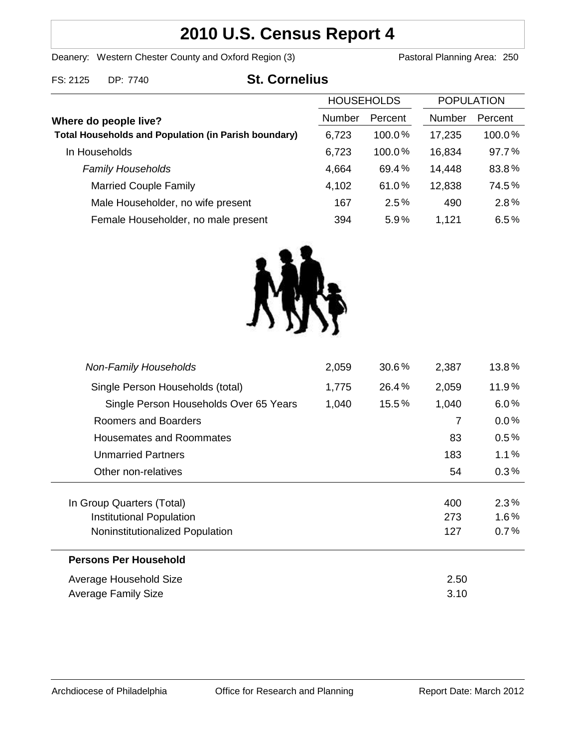# **2010 U.S. Census Report 4**

Deanery: Western Chester County and Oxford Region (3) Pastoral Planning Area: 250

| FS: 2125 DP: 7740 | <b>St. Cornelius</b> |
|-------------------|----------------------|
|                   |                      |

|                                                             | <b>HOUSEHOLDS</b> |           | <b>POPULATION</b> |         |
|-------------------------------------------------------------|-------------------|-----------|-------------------|---------|
| Where do people live?                                       | Number            | Percent   | <b>Number</b>     | Percent |
| <b>Total Households and Population (in Parish boundary)</b> | 6,723             | $100.0\%$ | 17,235            | 100.0%  |
| In Households                                               | 6,723             | $100.0\%$ | 16,834            | 97.7%   |
| <b>Family Households</b>                                    | 4,664             | 69.4%     | 14,448            | 83.8%   |
| <b>Married Couple Family</b>                                | 4,102             | 61.0%     | 12,838            | 74.5%   |
| Male Householder, no wife present                           | 167               | 2.5%      | 490               | 2.8%    |
| Female Householder, no male present                         | 394               | 5.9%      | 1,121             | 6.5%    |



| <b>Non-Family Households</b>           | 2,059 | 30.6%    | 2,387 | 13.8%   |
|----------------------------------------|-------|----------|-------|---------|
| Single Person Households (total)       | 1,775 | 26.4%    | 2,059 | 11.9%   |
| Single Person Households Over 65 Years | 1,040 | $15.5\%$ | 1,040 | $6.0\%$ |
| Roomers and Boarders                   |       |          | 7     | $0.0\%$ |
| Housemates and Roommates               |       |          | 83    | $0.5\%$ |
| <b>Unmarried Partners</b>              |       |          | 183   | $1.1\%$ |
| Other non-relatives                    |       |          | 54    | 0.3%    |
|                                        |       |          |       |         |
| In Group Quarters (Total)              |       |          | 400   | 2.3%    |
| Institutional Population               |       |          | 273   | 1.6%    |
| Noninstitutionalized Population        |       |          | 127   | 0.7%    |
| <b>Persons Per Household</b>           |       |          |       |         |
| Average Household Size                 |       |          | 2.50  |         |
| Average Family Size                    |       |          | 3.10  |         |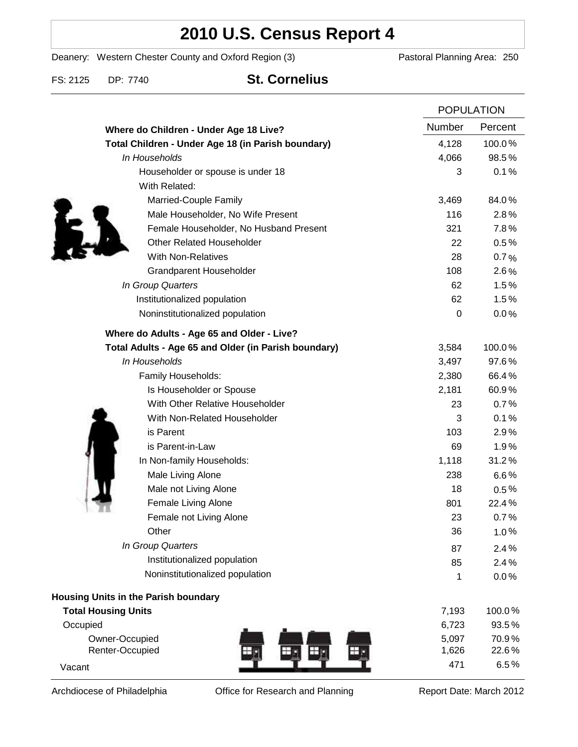## **2010 U.S. Census Report 4**

Deanery: Western Chester County and Oxford Region (3) Pastoral Planning Area: 250

FS: 2125 DP: 7740 **St. Cornelius**

|                                                      |  | <b>POPULATION</b> |         |
|------------------------------------------------------|--|-------------------|---------|
| Where do Children - Under Age 18 Live?               |  | Number            | Percent |
| Total Children - Under Age 18 (in Parish boundary)   |  | 4,128             | 100.0%  |
| In Households                                        |  | 4,066             | 98.5%   |
| Householder or spouse is under 18                    |  | 3                 | 0.1%    |
| With Related:                                        |  |                   |         |
| Married-Couple Family                                |  | 3,469             | 84.0%   |
| Male Householder, No Wife Present                    |  | 116               | 2.8%    |
| Female Householder, No Husband Present               |  | 321               | 7.8%    |
| <b>Other Related Householder</b>                     |  | 22                | 0.5%    |
| <b>With Non-Relatives</b>                            |  | 28                | 0.7%    |
| Grandparent Householder                              |  | 108               | $2.6\%$ |
| In Group Quarters                                    |  | 62                | 1.5%    |
| Institutionalized population                         |  | 62                | 1.5%    |
| Noninstitutionalized population                      |  | $\boldsymbol{0}$  | $0.0\%$ |
| Where do Adults - Age 65 and Older - Live?           |  |                   |         |
| Total Adults - Age 65 and Older (in Parish boundary) |  | 3,584             | 100.0%  |
| In Households                                        |  | 3,497             | 97.6%   |
| Family Households:                                   |  | 2,380             | 66.4%   |
| Is Householder or Spouse                             |  | 2,181             | 60.9%   |
| With Other Relative Householder                      |  | 23                | 0.7%    |
| With Non-Related Householder                         |  | 3                 | 0.1%    |
| is Parent                                            |  | 103               | 2.9%    |
| is Parent-in-Law                                     |  | 69                | 1.9%    |
| In Non-family Households:                            |  | 1,118             | 31.2%   |
| Male Living Alone                                    |  | 238               | $6.6\%$ |
| Male not Living Alone                                |  | 18                | $0.5\%$ |
| Female Living Alone                                  |  | 801               | 22.4%   |
| Female not Living Alone                              |  | 23                | 0.7%    |
| Other                                                |  | 36                | 1.0%    |
| In Group Quarters                                    |  | 87                | 2.4%    |
| Institutionalized population                         |  | 85                | 2.4%    |
| Noninstitutionalized population                      |  | 1                 | 0.0%    |
| Housing Units in the Parish boundary                 |  |                   |         |
| <b>Total Housing Units</b>                           |  | 7,193             | 100.0%  |
| Occupied                                             |  | 6,723             | 93.5%   |
| Owner-Occupied                                       |  | 5,097             | 70.9%   |
| Renter-Occupied                                      |  | 1,626             | 22.6%   |
| Vacant                                               |  | 471               | 6.5%    |

Archdiocese of Philadelphia **Office for Research and Planning** Report Date: March 2012